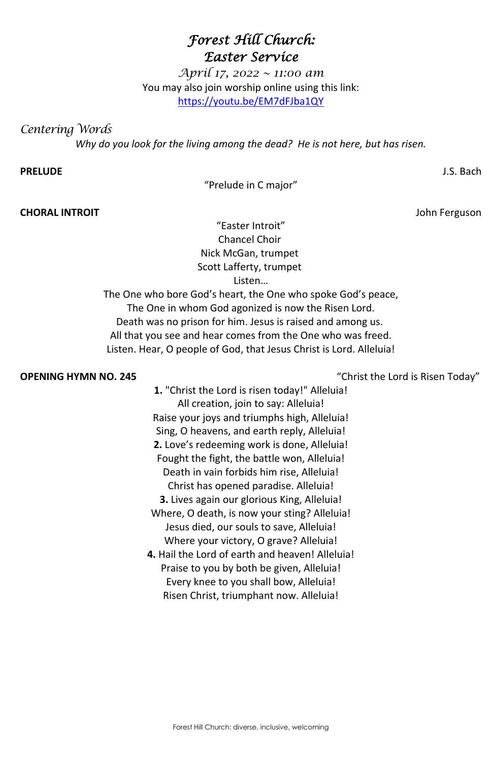Forest Hill Church: diverse, inclusive, welcoming

# *Forest Hill Church: Easter Service*

*April 17, 2022 ~ 11:00 am* You may also join worship online using this link: <https://youtu.be/EM7dFJba1QY>

*Centering Words* 

*Why do you look for the living among the dead? He is not here, but has risen.*

### **PRELUDE** J.S. Bach

"Prelude in C major"

**CHORAL INTROIT** John Ferguson

"Easter Introit" Chancel Choir Nick McGan, trumpet Scott Lafferty, trumpet Listen…

The One who bore God's heart, the One who spoke God's peace, The One in whom God agonized is now the Risen Lord. Death was no prison for him. Jesus is raised and among us. All that you see and hear comes from the One who was freed. Listen. Hear, O people of God, that Jesus Christ is Lord. Alleluia!

**OPENING HYMN NO. 245** "Christ the Lord is Risen Today"

**1.** "Christ the Lord is risen today!" Alleluia! All creation, join to say: Alleluia! Raise your joys and triumphs high, Alleluia! Sing, O heavens, and earth reply, Alleluia! **2.** Love's redeeming work is done, Alleluia! Fought the fight, the battle won, Alleluia! Death in vain forbids him rise, Alleluia! Christ has opened paradise. Alleluia! **3.** Lives again our glorious King, Alleluia! Where, O death, is now your sting? Alleluia! Jesus died, our souls to save, Alleluia! Where your victory, O grave? Alleluia!

**4.** Hail the Lord of earth and heaven! Alleluia!

Praise to you by both be given, Alleluia! Every knee to you shall bow, Alleluia! Risen Christ, triumphant now. Alleluia!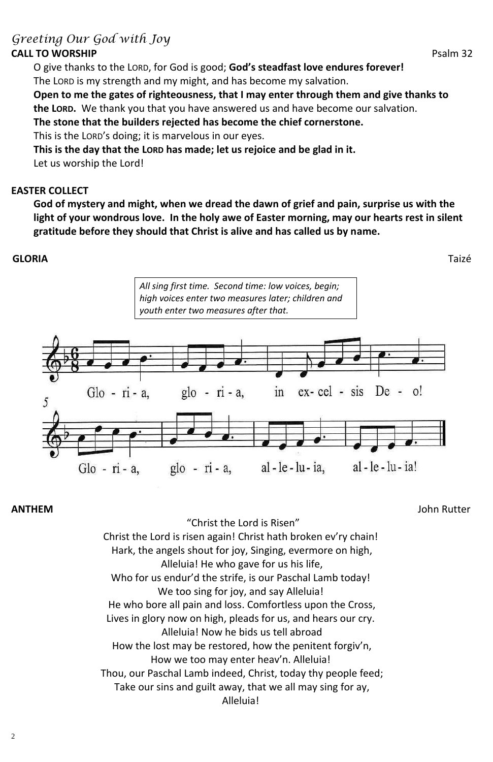# *Greeting Our God with Joy*

## **CALL TO WORSHIP** Psalm 32

O give thanks to the LORD, for God is good; **God's steadfast love endures forever!** The LORD is my strength and my might, and has become my salvation.

**Open to me the gates of righteousness, that I may enter through them and give thanks to the LORD.** We thank you that you have answered us and have become our salvation.

**The stone that the builders rejected has become the chief cornerstone.**

This is the LORD's doing; it is marvelous in our eyes.

**This is the day that the LORD has made; let us rejoice and be glad in it.**

Let us worship the Lord!

## **EASTER COLLECT**

**God of mystery and might, when we dread the dawn of grief and pain, surprise us with the light of your wondrous love. In the holy awe of Easter morning, may our hearts rest in silent gratitude before they should that Christ is alive and has called us by name.** 

## **GLORIA**Taizé

**ANTHEM** John Rutter

"Christ the Lord is Risen" Christ the Lord is risen again! Christ hath broken ev'ry chain! Hark, the angels shout for joy, Singing, evermore on high, Alleluia! He who gave for us his life, Who for us endur'd the strife, is our Paschal Lamb today! We too sing for joy, and say Alleluia! He who bore all pain and loss. Comfortless upon the Cross, Lives in glory now on high, pleads for us, and hears our cry. Alleluia! Now he bids us tell abroad How the lost may be restored, how the penitent forgiv'n, How we too may enter heav'n. Alleluia! Thou, our Paschal Lamb indeed, Christ, today thy people feed; Take our sins and guilt away, that we all may sing for ay, Alleluia!

*All sing first time. Second time: low voices, begin; high voices enter two measures later; children and youth enter two measures after that.*

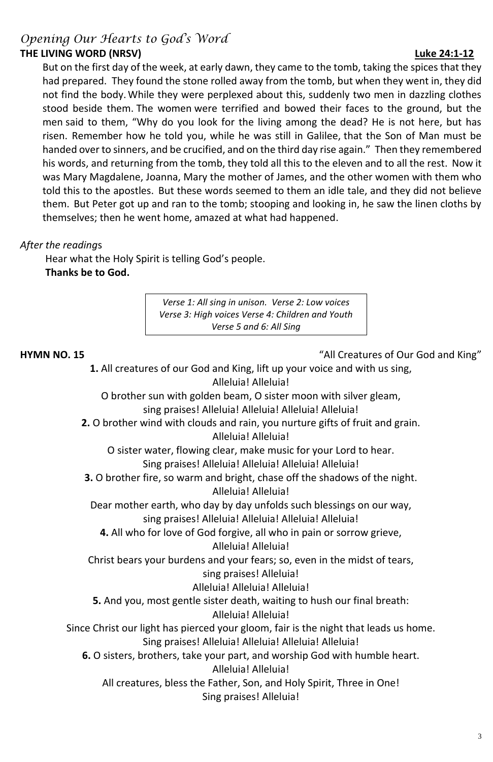## *Opening Our Hearts to God's Word* **THE LIVING WORD (NRSV) Luke 24:1-12**

But on the first day of the week, at early dawn, they came to the tomb, taking the spices that they had prepared. They found the stone rolled away from the tomb, but when they went in, they did not find the body. While they were perplexed about this, suddenly two men in dazzling clothes stood beside them. The women were terrified and bowed their faces to the ground, but the men said to them, "Why do you look for the living among the dead? He is not here, but has risen. Remember how he told you, while he was still in Galilee, that the Son of Man must be handed over to sinners, and be crucified, and on the third day rise again." Then they remembered his words, and returning from the tomb, they told all this to the eleven and to all the rest. Now it was Mary Magdalene, Joanna, Mary the mother of James, and the other women with them who told this to the apostles. But these words seemed to them an idle tale, and they did not believe them. But Peter got up and ran to the tomb; stooping and looking in, he saw the linen cloths by themselves; then he went home, amazed at what had happened.

## *After the reading*s

Hear what the Holy Spirit is telling God's people. **Thanks be to God.**

**HYMN NO. 15** "All Creatures of Our God and King"

**1.** All creatures of our God and King, lift up your voice and with us sing, Alleluia! Alleluia!

O brother sun with golden beam, O sister moon with silver gleam, sing praises! Alleluia! Alleluia! Alleluia! Alleluia!

**2.** O brother wind with clouds and rain, you nurture gifts of fruit and grain.

Alleluia! Alleluia!

O sister water, flowing clear, make music for your Lord to hear.

Sing praises! Alleluia! Alleluia! Alleluia! Alleluia!

**3.** O brother fire, so warm and bright, chase off the shadows of the night. Alleluia! Alleluia!

Dear mother earth, who day by day unfolds such blessings on our way, sing praises! Alleluia! Alleluia! Alleluia! Alleluia!

**4.** All who for love of God forgive, all who in pain or sorrow grieve,

## Alleluia! Alleluia!

Christ bears your burdens and your fears; so, even in the midst of tears,

sing praises! Alleluia! Alleluia! Alleluia! Alleluia!

**5.** And you, most gentle sister death, waiting to hush our final breath: Alleluia! Alleluia!

Since Christ our light has pierced your gloom, fair is the night that leads us home. Sing praises! Alleluia! Alleluia! Alleluia! Alleluia!

**6.** O sisters, brothers, take your part, and worship God with humble heart. Alleluia! Alleluia!

All creatures, bless the Father, Son, and Holy Spirit, Three in One! Sing praises! Alleluia!

*Verse 1: All sing in unison. Verse 2: Low voices Verse 3: High voices Verse 4: Children and Youth Verse 5 and 6: All Sing*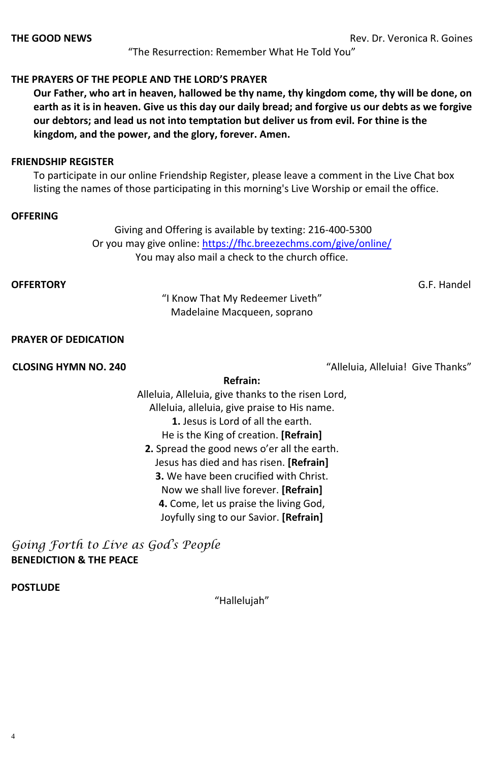4

**THE GOOD NEWS** Rev. Dr. Veronica R. Goines

"The Resurrection: Remember What He Told You"

### **THE PRAYERS OF THE PEOPLE AND THE LORD'S PRAYER**

**Our Father, who art in heaven, hallowed be thy name, thy kingdom come, thy will be done, on earth as it is in heaven. Give us this day our daily bread; and forgive us our debts as we forgive our debtors; and lead us not into temptation but deliver us from evil. For thine is the kingdom, and the power, and the glory, forever. Amen.**

#### **FRIENDSHIP REGISTER**

To participate in our online Friendship Register, please leave a comment in the Live Chat box listing the names of those participating in this morning's Live Worship or email the office.

#### **OFFERING**

[Giving and Offering is available by texting: 216-400-5300](https://www.fhcpresb.org/social-justice-outreach/stewardship-2015/giving/#paypal) Or you may give online:<https://fhc.breezechms.com/give/online/> You may also mail a check to the church office.

### **OFFERTORY** G.F. Handel

"I Know That My Redeemer Liveth" Madelaine Macqueen, soprano

#### **PRAYER OF DEDICATION**

**CLOSING HYMN NO. 240** "Alleluia, Alleluia! Give Thanks"

#### **Refrain:**

Alleluia, Alleluia, give thanks to the risen Lord, Alleluia, alleluia, give praise to His name. **1.** Jesus is Lord of all the earth. He is the King of creation. **[Refrain] 2.** Spread the good news o'er all the earth. Jesus has died and has risen. **[Refrain] 3.** We have been crucified with Christ. Now we shall live forever. **[Refrain] 4.** Come, let us praise the living God,

Joyfully sing to our Savior. **[Refrain]**

*Going Forth to Live as God's People* **BENEDICTION & THE PEACE**

#### **POSTLUDE**

"Hallelujah"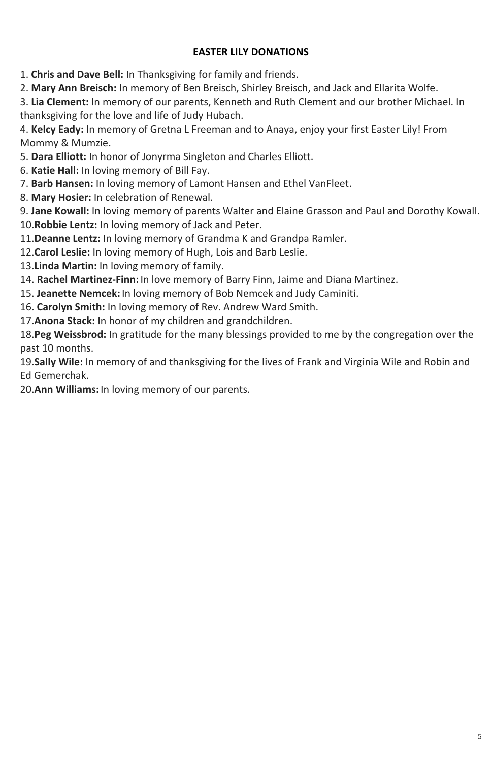## **EASTER LILY DONATIONS**

1. **Chris and Dave Bell:** In Thanksgiving for family and friends.

2. **Mary Ann Breisch:** In memory of Ben Breisch, Shirley Breisch, and Jack and Ellarita Wolfe.

3. **Lia Clement:** In memory of our parents, Kenneth and Ruth Clement and our brother Michael. In thanksgiving for the love and life of Judy Hubach.

4. **Kelcy Eady:** In memory of Gretna L Freeman and to Anaya, enjoy your first Easter Lily! From Mommy & Mumzie.

5. **Dara Elliott:** In honor of Jonyrma Singleton and Charles Elliott.

- 6. **Katie Hall:** In loving memory of Bill Fay.
- 7. **Barb Hansen:** In loving memory of Lamont Hansen and Ethel VanFleet.
- 8. **Mary Hosier:** In celebration of Renewal.

9. **Jane Kowall:** In loving memory of parents Walter and Elaine Grasson and Paul and Dorothy Kowall. 10.**Robbie Lentz:** In loving memory of Jack and Peter.

- 11.**Deanne Lentz:** In loving memory of Grandma K and Grandpa Ramler.
- 12.**Carol Leslie:** In loving memory of Hugh, Lois and Barb Leslie.
- 13.**Linda Martin:** In loving memory of family.
- 14. **Rachel Martinez-Finn:** In love memory of Barry Finn, Jaime and Diana Martinez.
- 15. **Jeanette Nemcek:** In loving memory of Bob Nemcek and Judy Caminiti.
- 16. **Carolyn Smith:** In loving memory of Rev. Andrew Ward Smith.
- 17.**Anona Stack:** In honor of my children and grandchildren.

18.**Peg Weissbrod:** In gratitude for the many blessings provided to me by the congregation over the past 10 months.

19.**Sally Wile:** In memory of and thanksgiving for the lives of Frank and Virginia Wile and Robin and Ed Gemerchak.

20.**Ann Williams:** In loving memory of our parents.